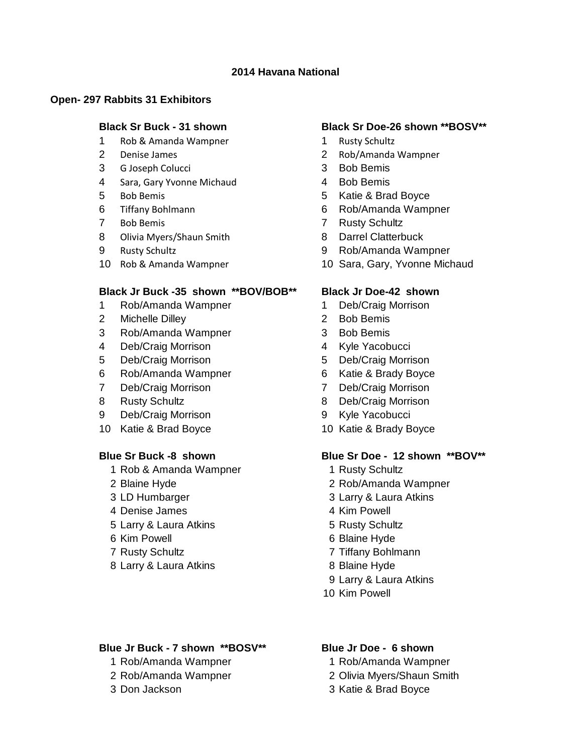## **2014 Havana National**

## **Open- 297 Rabbits 31 Exhibitors**

- 1 Rob & Amanda Wampner 1 Rusty Schultz
- 
- 3 G Joseph Colucci 3 Bob Bemis
- 4 Sara, Gary Yvonne Michaud 4 Bob Bemis
- 
- 
- 
- 8 Olivia Myers/Shaun Smith 8 Darrel Clatterbuck
- 
- 

### **Black Jr Buck -35 shown \*\*BOV/BOB\*\* Black Jr Doe-42 shown**

- 1 Rob/Amanda Wampner 1 Deb/Craig Morrison
- 2 Michelle Dilley 2 Bob Bemis
- 3 Rob/Amanda Wampner 3 Bob Bemis
- 4 Deb/Craig Morrison 4 Kyle Yacobucci
- 
- 6 Rob/Amanda Wampner 6 Katie & Brady Boyce
- 
- 
- 9 Deb/Craig Morrison 9 Kyle Yacobucci
- 10 Katie & Brad Boyce 10 Katie & Brady Boyce

- 1 Rob & Amanda Wampner 1 Rusty Schultz
- 
- 
- 4 Denise James **4 Kim Powell**
- 5 Larry & Laura Atkins 5 Rusty Schultz
- 
- 
- 8 Larry & Laura Atkins 8 Blaine Hyde

### **Black Sr Buck - 31 shown Black Sr Doe-26 shown \*\*BOSV\*\***

- 
- 2 Denise James 2 Rob/Amanda Wampner
	-
	-
- 5 Bob Bemis 5 Katie & Brad Boyce
- 6 Tiffany Bohlmann 6 Rob/Amanda Wampner
- 7 Bob Bemis 7 Rusty Schultz
	-
- 9 Rusty Schultz 9 Rob/Amanda Wampner
- 10 Rob & Amanda Wampner 10 Sara, Gary, Yvonne Michaud

- 
- 
- 
- 
- 5 Deb/Craig Morrison 5 Deb/Craig Morrison
	-
- 7 Deb/Craig Morrison 7 Deb/Craig Morrison
- 8 Rusty Schultz 8 Deb/Craig Morrison
	-
	-

### Blue Sr Buck -8 shown Blue Sr Doe - 12 shown \*\*BOV\*\*

- 
- 2 Blaine Hyde 2 Rob/Amanda Wampner
- 3 LD Humbarger 3 Larry & Laura Atkins
	-
	-
- 6 Kim Powell 6 Blaine Hyde
- 7 Rusty Schultz 7 Tiffany Bohlmann
	-
	- 9 Larry & Laura Atkins
	- 10 Kim Powell

### **Blue Jr Buck - 7 shown \*\*BOSV\*\* Blue Jr Doe - 6 shown**

- 1 Rob/Amanda Wampner 1 Rob/Amanda Wampner
- 2 Rob/Amanda Wampner 2 Olivia Myers/Shaun Smith
- 

- 
- 
- 3 Don Jackson 3 Katie & Brad Boyce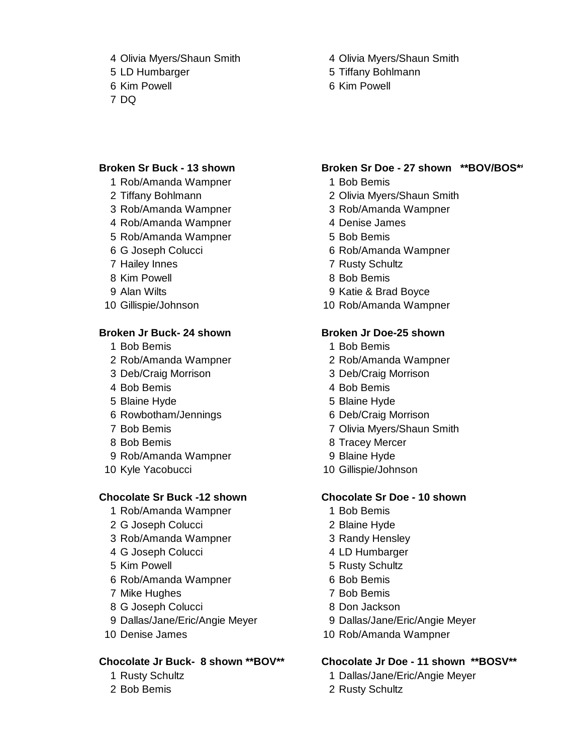- 4 Olivia Myers/Shaun Smith 4 Olivia Myers/Shaun Smith 5 LD Humbarger 6 Tiffany Bohlmann 6 Kim Powell 6 Kim Powell
- 7 DQ

- 1 Rob/Amanda Wampner 1 Bob Bemis
- 
- 
- 4 Rob/Amanda Wampner 4 Denise James
- 5 Rob/Amanda Wampner 5 Bob Bemis
- 
- 
- 8 Kim Powell **8 August 2018** 8 Bob Bemis
- 
- 

# **Broken Jr Buck- 24 shown Broken Jr Doe-25 shown**

- 
- 2 Rob/Amanda Wampner 2 Rob/Amanda Wampner
- 3 Deb/Craig Morrison 3 Deb/Craig Morrison
- 
- 
- 6 Rowbotham/Jennings 6 Deb/Craig Morrison
- 
- 
- 9 Rob/Amanda Wampner 9 Blaine Hyde
- 

# **Chocolate Sr Buck -12 shown Chocolate Sr Doe - 10 shown**

- 1 Rob/Amanda Wampner 1 Bob Bemis
- 2 G Joseph Colucci 2 Blaine Hyde
- 3 Rob/Amanda Wampner 3 Randy Hensley
- 4 G Joseph Colucci 4 LD Humbarger
- 
- 6 Rob/Amanda Wampner 6 Bob Bemis
- 7 Mike Hughes 7 Bob Bemis
- 8 G Joseph Colucci 8 Don Jackson
- 
- 

- 
- 
- 
- 
- 

# **Broken Sr Buck - 13 shown Broken Sr Doe - 27 shown \*\*BOV/BOS\*\***

- 
- 2 Tiffany Bohlmann 2 Olivia Myers/Shaun Smith
- 3 Rob/Amanda Wampner 3 Rob/Amanda Wampner
	-
	-
- 6 G Joseph Colucci 6 Rob/Amanda Wampner
- 7 Hailey Innes 7 Rusty Schultz
	-
- 9 Alan Wilts 9 Katie & Brad Boyce
- 10 Gillispie/Johnson 10 Rob/Amanda Wampner

- 1 Bob Bemis 1 Bob Bemis
	-
	-
- 4 Bob Bemis 4 Bob Bemis
- 5 Blaine Hyde 5 Blaine Hyde
	-
- 7 Bob Bemis 7 Olivia Myers/Shaun Smith
- 8 Bob Bemis 8 Tracey Mercer
	-
- 10 Kyle Yacobucci 10 Gillispie/Johnson

- 
- 
- 
- 
- 5 Kim Powell 5 Rusty Schultz
	-
	-
	-
- 9 Dallas/Jane/Eric/Angie Meyer 9 Dallas/Jane/Eric/Angie Meyer
- 10 Denise James 10 Rob/Amanda Wampner

## **Chocolate Jr Buck- 8 shown \*\*BOV\*\* Chocolate Jr Doe - 11 shown \*\*BOSV\*\***

- 1 Rusty Schultz 1 Dallas/Jane/Eric/Angie Meyer
- 2 Bob Bemis 2 Rusty Schultz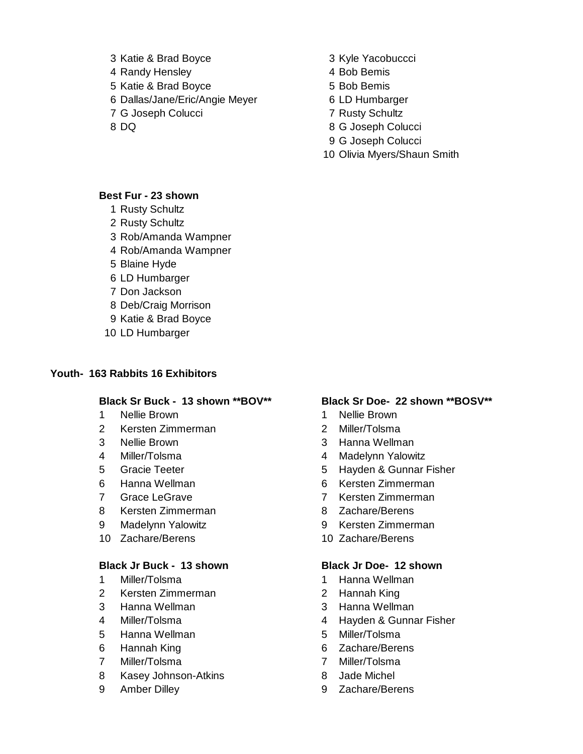- 3 Katie & Brad Boyce 3 Kyle Yacobuccci
- 4 Randy Hensley 2008 12 20 4 Bob Bemis
- 5 Katie & Brad Boyce 5 Bob Bemis
- 6 Dallas/Jane/Eric/Angie Meyer 6 LD Humbarger
- 7 G Joseph Colucci 7 Rusty Schultz
- 
- 
- 
- 
- 
- 
- 8 DQ 8 G Joseph Colucci
	- 9 G Joseph Colucci
	- 10 Olivia Myers/Shaun Smith

## **Best Fur - 23 shown**

- 1 Rusty Schultz
- 2 Rusty Schultz
- 3 Rob/Amanda Wampner
- 4 Rob/Amanda Wampner
- 5 Blaine Hyde
- 6 LD Humbarger
- 7 Don Jackson
- 8 Deb/Craig Morrison
- 9 Katie & Brad Boyce
- 10 LD Humbarger

## **Youth- 163 Rabbits 16 Exhibitors**

### **Black Sr Buck - 13 shown \*\*BOV\*\* Black Sr Doe- 22 shown \*\*BOSV\*\***

- 1 Nellie Brown 1 Nellie Brown
- 2 Kersten Zimmerman 2 Miller/Tolsma
- 
- 
- 
- 
- 
- 8 Kersten Zimmerman 1982 8 Zachare/Berens
- 9 Madelynn Yalowitz 9 Kersten Zimmerman
- 10 Zachare/Berens 10 Zachare/Berens

### **Black Jr Buck - 13 shown Black Jr Doe- 12 shown**

- 
- 2 Kersten Zimmerman 2 Hannah King
- 3 Hanna Wellman 3 Hanna Wellman
- 
- 5 Hanna Wellman **5 Miller/Tolsma**
- 
- 7 Miller/Tolsma 7 Miller/Tolsma
- 8 Kasey Johnson-Atkins 8 Jade Michel
- 

- 
- 
- 3 Nellie Brown 3 Hanna Wellman
- 4 Miller/Tolsma **4 Madelynn** Yalowitz
- 5 Gracie Teeter 5 Hayden & Gunnar Fisher
- 6 Hanna Wellman 6 Kersten Zimmerman
- 7 Grace LeGrave 7 Kersten Zimmerman
	-
	-
	-

- 1 Miller/Tolsma 1 Hanna Wellman
	-
	-
- 4 Miller/Tolsma **4 Hayden & Gunnar Fisher** 
	-
- 6 Hannah King **6 Cachare/Berens** 
	-
	-
- 9 Amber Dilley 9 Zachare/Berens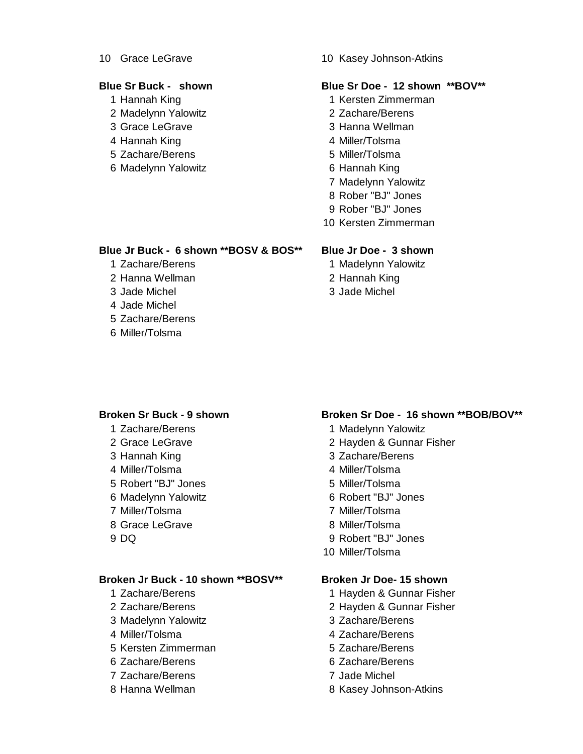- 
- 2 Madelynn Yalowitz 2 Zachare/Berens
- 3 Grace LeGrave 3 Hanna Wellman
- 4 Hannah King **4 Hannah King 1988** A Miller/Tolsma
- 5 Zachare/Berens 5 Miller/Tolsma
- 6 Madelynn Yalowitz 6 Hannah King

## 10 Grace LeGrave 20 20 20 10 Kasey Johnson-Atkins

## **Blue Sr Buck - shown Blue Sr Doe - 12 shown \*\*BOV\*\***

- 1 Hannah King 1 Kersten Zimmerman
	-
	-
	-
	-
	-
	- 7 Madelynn Yalowitz
	- 8 Rober "BJ" Jones
	- 9 Rober "BJ" Jones
	- 10 Kersten Zimmerman

## **Blue Jr Buck - 6 shown \*\*BOSV & BOS\*\* Blue Jr Doe - 3 shown**

- 
- 2 Hanna Wellman 2 Hannah King
- 3 Jade Michel 3 Jade Michel
- 4 Jade Michel
- 5 Zachare/Berens
- 6 Miller/Tolsma

- 1 Zachare/Berens 1 Madelynn Yalowitz
	-
	-

- 
- 
- 
- 4 Miller/Tolsma 4 Miller/Tolsma
- 5 Robert "BJ" Jones 5 Miller/Tolsma
- 
- 7 Miller/Tolsma 7 Miller/Tolsma
- 8 Grace LeGrave **8 Miller/Tolsma**
- 

### **Broken Jr Buck - 10 shown \*\*BOSV\*\* Broken Jr Doe- 15 shown**

- 
- 
- 3 Madelynn Yalowitz 3 Zachare/Berens
- 
- 5 Kersten Zimmerman 5 Zachare/Berens
- 6 Zachare/Berens 6 Zachare/Berens
- 7 Zachare/Berens 7 Jade Michel
- 

# **Broken Sr Buck - 9 shown Broken Sr Doe - 16 shown \*\*BOB/BOV\*\***

- 1 Zachare/Berens 1 Madelynn Yalowitz
- 2 Grace LeGrave 2 Hayden & Gunnar Fisher
- 3 Hannah King 3 Zachare/Berens
	-
	-
- 6 Madelynn Yalowitz 6 Robert "BJ" Jones
	-
	-
- 9 DQ 9 Robert "BJ" Jones
	- 10 Miller/Tolsma

- 1 Zachare/Berens 1 Hayden & Gunnar Fisher
- 2 Zachare/Berens 2 Hayden & Gunnar Fisher
	-
- 4 Miller/Tolsma **4 Zachare/Berens** 
	-
	-
	-
- 8 Hanna Wellman 8 Kasey Johnson-Atkins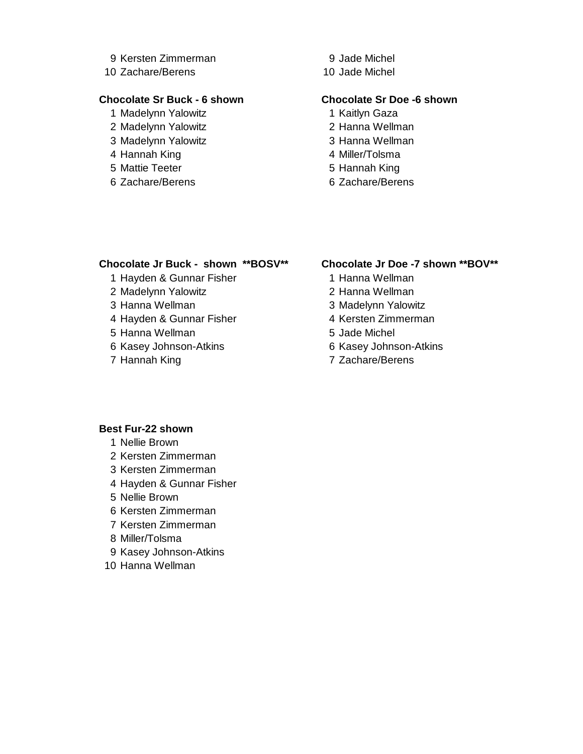- 9 Kersten Zimmerman and 19 Jade Michel
- 10 Zachare/Berens 10 Jade Michel

- 1 Madelynn Yalowitz **1 Madelynn** Yalowitz **1 Kaitlyn** Gaza
- 2 Madelynn Yalowitz 2 Hanna Wellman
- 3 Madelynn Yalowitz **3 Hanna Wellman**
- 
- 5 Mattie Teeter **5 Hannah King**
- 
- 
- 

# **Chocolate Sr Buck - 6 shown Chocolate Sr Doe -6 shown**

- 
- 
- 
- 4 Hannah King **4 Miller/Tolsma** 
	-
- 6 Zachare/Berens 6 Zachare/Berens

# **Chocolate Jr Buck - shown \*\*BOSV\*\* Chocolate Jr Doe -7 shown \*\*BOV\*\***

- 1 Hayden & Gunnar Fisher 1 Hanna Wellman
- 2 Madelynn Yalowitz 2 Hanna Wellman
- 
- 4 Hayden & Gunnar Fisher 4 Kersten Zimmerman
- 5 Hanna Wellman 5 Jade Michel
- 
- 

- 
- 
- 3 Hanna Wellman 3 Madelynn Yalowitz
	-
	-
- 6 Kasey Johnson-Atkins 6 Kasey Johnson-Atkins
- 7 Hannah King 7 Zachare/Berens

## **Best Fur-22 shown**

- 1 Nellie Brown
- 2 Kersten Zimmerman
- 3 Kersten Zimmerman
- 4 Hayden & Gunnar Fisher
- 5 Nellie Brown
- 6 Kersten Zimmerman
- 7 Kersten Zimmerman
- 8 Miller/Tolsma
- 9 Kasey Johnson-Atkins
- 10 Hanna Wellman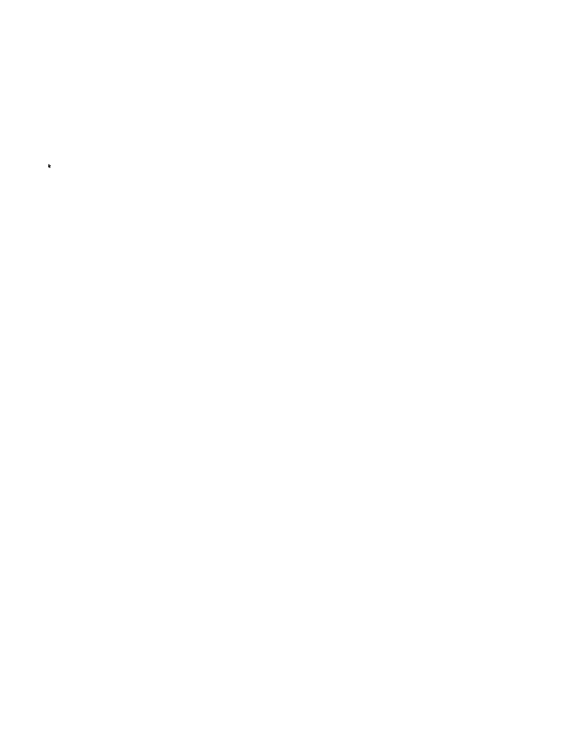$\pmb{\mathsf{k}}$